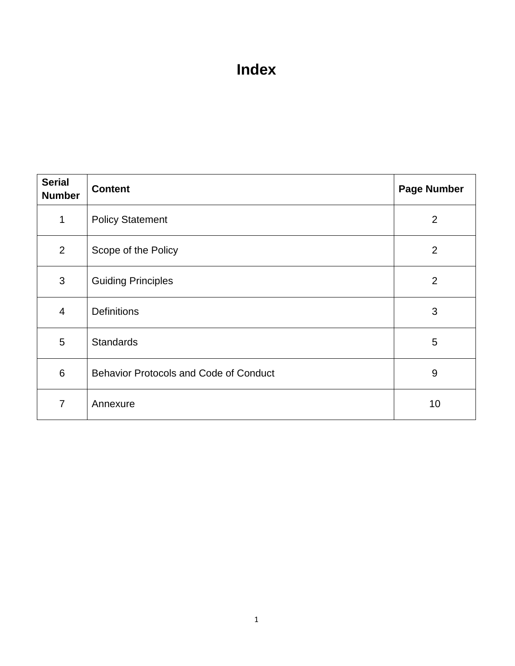# **Index**

| <b>Serial</b><br><b>Number</b> | <b>Content</b>                                | <b>Page Number</b> |
|--------------------------------|-----------------------------------------------|--------------------|
| $\mathbf{1}$                   | <b>Policy Statement</b>                       | $\overline{2}$     |
| $\overline{2}$                 | Scope of the Policy                           | $\overline{2}$     |
| 3                              | <b>Guiding Principles</b>                     | 2                  |
| $\overline{4}$                 | <b>Definitions</b>                            | 3                  |
| 5                              | <b>Standards</b>                              | 5                  |
| 6                              | <b>Behavior Protocols and Code of Conduct</b> | 9                  |
| 7                              | Annexure                                      | 10                 |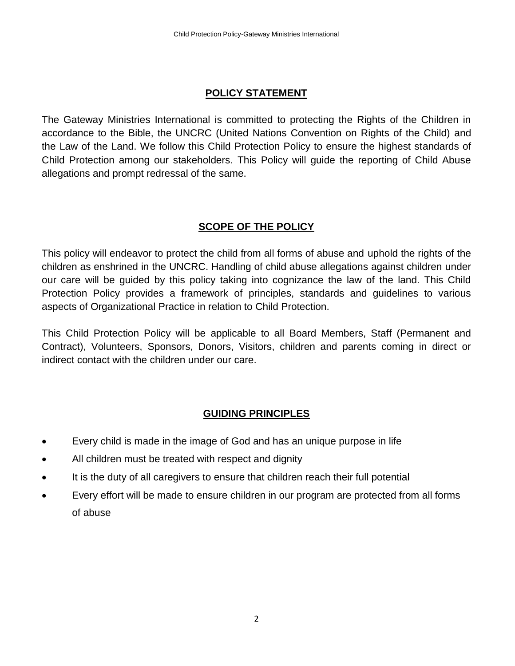## **POLICY STATEMENT**

The Gateway Ministries International is committed to protecting the Rights of the Children in accordance to the Bible, the UNCRC (United Nations Convention on Rights of the Child) and the Law of the Land. We follow this Child Protection Policy to ensure the highest standards of Child Protection among our stakeholders. This Policy will guide the reporting of Child Abuse allegations and prompt redressal of the same.

# **SCOPE OF THE POLICY**

This policy will endeavor to protect the child from all forms of abuse and uphold the rights of the children as enshrined in the UNCRC. Handling of child abuse allegations against children under our care will be guided by this policy taking into cognizance the law of the land. This Child Protection Policy provides a framework of principles, standards and guidelines to various aspects of Organizational Practice in relation to Child Protection.

This Child Protection Policy will be applicable to all Board Members, Staff (Permanent and Contract), Volunteers, Sponsors, Donors, Visitors, children and parents coming in direct or indirect contact with the children under our care.

## **GUIDING PRINCIPLES**

- Every child is made in the image of God and has an unique purpose in life
- All children must be treated with respect and dignity
- It is the duty of all caregivers to ensure that children reach their full potential
- Every effort will be made to ensure children in our program are protected from all forms of abuse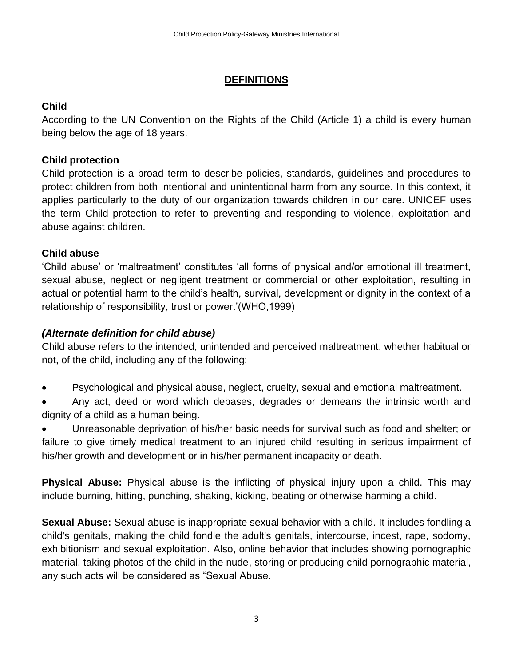# **DEFINITIONS**

# **Child**

According to the UN Convention on the Rights of the Child (Article 1) a child is every human being below the age of 18 years.

# **Child protection**

Child protection is a broad term to describe policies, standards, guidelines and procedures to protect children from both intentional and unintentional harm from any source. In this context, it applies particularly to the duty of our organization towards children in our care. UNICEF uses the term Child protection to refer to preventing and responding to violence, exploitation and abuse against children.

# **Child abuse**

'Child abuse' or 'maltreatment' constitutes 'all forms of physical and/or emotional ill treatment, sexual abuse, neglect or negligent treatment or commercial or other exploitation, resulting in actual or potential harm to the child's health, survival, development or dignity in the context of a relationship of responsibility, trust or power.'(WHO,1999)

# *(Alternate definition for child abuse)*

Child abuse refers to the intended, unintended and perceived maltreatment, whether habitual or not, of the child, including any of the following:

- Psychological and physical abuse, neglect, cruelty, sexual and emotional maltreatment.
- Any act, deed or word which debases, degrades or demeans the intrinsic worth and dignity of a child as a human being.

• Unreasonable deprivation of his/her basic needs for survival such as food and shelter; or failure to give timely medical treatment to an injured child resulting in serious impairment of his/her growth and development or in his/her permanent incapacity or death.

**Physical Abuse:** Physical abuse is the inflicting of physical injury upon a child. This may include burning, hitting, punching, shaking, kicking, beating or otherwise harming a child.

**Sexual Abuse:** Sexual abuse is inappropriate sexual behavior with a child. It includes fondling a child's genitals, making the child fondle the adult's genitals, intercourse, incest, rape, sodomy, exhibitionism and sexual exploitation. Also, online behavior that includes showing pornographic material, taking photos of the child in the nude, storing or producing child pornographic material, any such acts will be considered as "Sexual Abuse.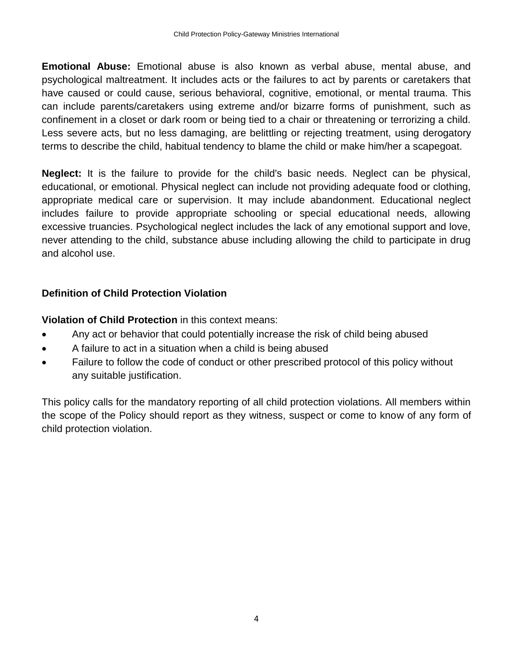**Emotional Abuse:** Emotional abuse is also known as verbal abuse, mental abuse, and psychological maltreatment. It includes acts or the failures to act by parents or caretakers that have caused or could cause, serious behavioral, cognitive, emotional, or mental trauma. This can include parents/caretakers using extreme and/or bizarre forms of punishment, such as confinement in a closet or dark room or being tied to a chair or threatening or terrorizing a child. Less severe acts, but no less damaging, are belittling or rejecting treatment, using derogatory terms to describe the child, habitual tendency to blame the child or make him/her a scapegoat.

**Neglect:** It is the failure to provide for the child's basic needs. Neglect can be physical, educational, or emotional. Physical neglect can include not providing adequate food or clothing, appropriate medical care or supervision. It may include abandonment. Educational neglect includes failure to provide appropriate schooling or special educational needs, allowing excessive truancies. Psychological neglect includes the lack of any emotional support and love, never attending to the child, substance abuse including allowing the child to participate in drug and alcohol use.

## **Definition of Child Protection Violation**

**Violation of Child Protection** in this context means:

- Any act or behavior that could potentially increase the risk of child being abused
- A failure to act in a situation when a child is being abused
- Failure to follow the code of conduct or other prescribed protocol of this policy without any suitable justification.

This policy calls for the mandatory reporting of all child protection violations. All members within the scope of the Policy should report as they witness, suspect or come to know of any form of child protection violation.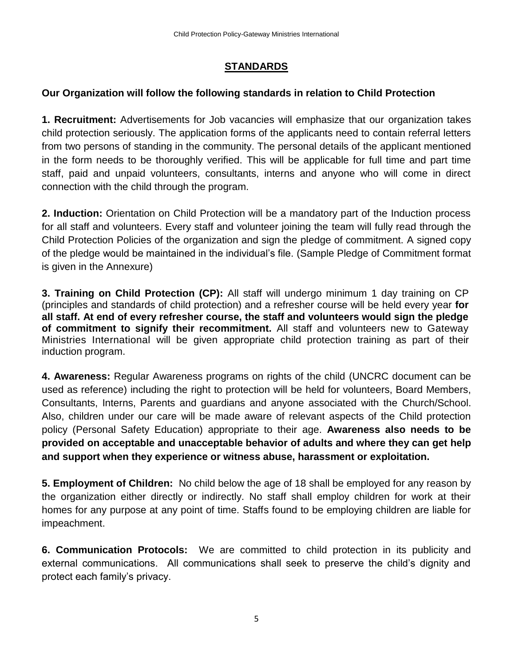#### **STANDARDS**

## **Our Organization will follow the following standards in relation to Child Protection**

**1. Recruitment:** Advertisements for Job vacancies will emphasize that our organization takes child protection seriously. The application forms of the applicants need to contain referral letters from two persons of standing in the community. The personal details of the applicant mentioned in the form needs to be thoroughly verified. This will be applicable for full time and part time staff, paid and unpaid volunteers, consultants, interns and anyone who will come in direct connection with the child through the program.

**2. Induction:** Orientation on Child Protection will be a mandatory part of the Induction process for all staff and volunteers. Every staff and volunteer joining the team will fully read through the Child Protection Policies of the organization and sign the pledge of commitment. A signed copy of the pledge would be maintained in the individual's file. (Sample Pledge of Commitment format is given in the Annexure)

**3. Training on Child Protection (CP):** All staff will undergo minimum 1 day training on CP (principles and standards of child protection) and a refresher course will be held every year **for all staff. At end of every refresher course, the staff and volunteers would sign the pledge of commitment to signify their recommitment.** All staff and volunteers new to Gateway Ministries International will be given appropriate child protection training as part of their induction program.

**4. Awareness:** Regular Awareness programs on rights of the child (UNCRC document can be used as reference) including the right to protection will be held for volunteers, Board Members, Consultants, Interns, Parents and guardians and anyone associated with the Church/School. Also, children under our care will be made aware of relevant aspects of the Child protection policy (Personal Safety Education) appropriate to their age. **Awareness also needs to be provided on acceptable and unacceptable behavior of adults and where they can get help and support when they experience or witness abuse, harassment or exploitation.** 

**5. Employment of Children:** No child below the age of 18 shall be employed for any reason by the organization either directly or indirectly. No staff shall employ children for work at their homes for any purpose at any point of time. Staffs found to be employing children are liable for impeachment.

**6. Communication Protocols:** We are committed to child protection in its publicity and external communications. All communications shall seek to preserve the child's dignity and protect each family's privacy.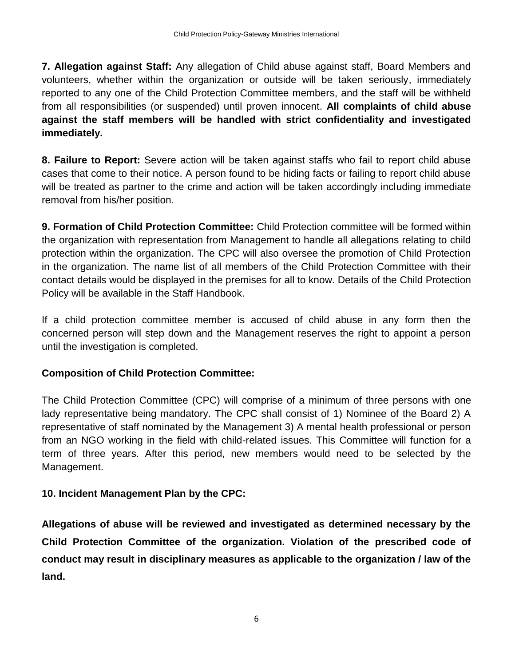**7. Allegation against Staff:** Any allegation of Child abuse against staff, Board Members and volunteers, whether within the organization or outside will be taken seriously, immediately reported to any one of the Child Protection Committee members, and the staff will be withheld from all responsibilities (or suspended) until proven innocent. **All complaints of child abuse against the staff members will be handled with strict confidentiality and investigated immediately.** 

**8. Failure to Report:** Severe action will be taken against staffs who fail to report child abuse cases that come to their notice. A person found to be hiding facts or failing to report child abuse will be treated as partner to the crime and action will be taken accordingly including immediate removal from his/her position.

**9. Formation of Child Protection Committee:** Child Protection committee will be formed within the organization with representation from Management to handle all allegations relating to child protection within the organization. The CPC will also oversee the promotion of Child Protection in the organization. The name list of all members of the Child Protection Committee with their contact details would be displayed in the premises for all to know. Details of the Child Protection Policy will be available in the Staff Handbook.

If a child protection committee member is accused of child abuse in any form then the concerned person will step down and the Management reserves the right to appoint a person until the investigation is completed.

#### **Composition of Child Protection Committee:**

The Child Protection Committee (CPC) will comprise of a minimum of three persons with one lady representative being mandatory. The CPC shall consist of 1) Nominee of the Board 2) A representative of staff nominated by the Management 3) A mental health professional or person from an NGO working in the field with child-related issues. This Committee will function for a term of three years. After this period, new members would need to be selected by the Management.

#### **10. Incident Management Plan by the CPC:**

**Allegations of abuse will be reviewed and investigated as determined necessary by the Child Protection Committee of the organization. Violation of the prescribed code of conduct may result in disciplinary measures as applicable to the organization / law of the land.**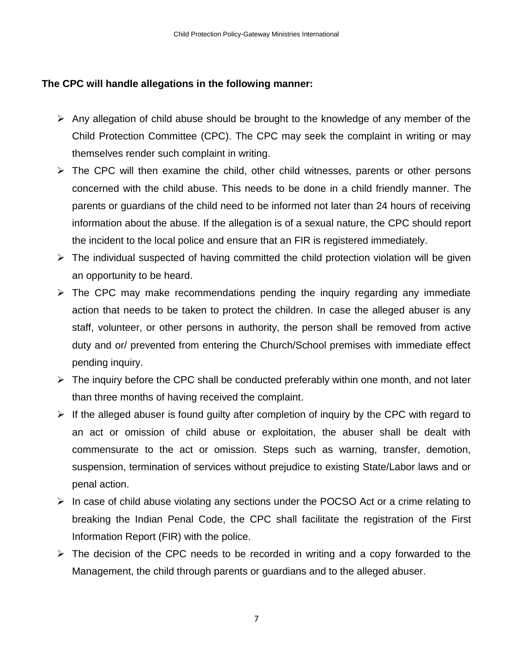#### **The CPC will handle allegations in the following manner:**

- ➢ Any allegation of child abuse should be brought to the knowledge of any member of the Child Protection Committee (CPC). The CPC may seek the complaint in writing or may themselves render such complaint in writing.
- ➢ The CPC will then examine the child, other child witnesses, parents or other persons concerned with the child abuse. This needs to be done in a child friendly manner. The parents or guardians of the child need to be informed not later than 24 hours of receiving information about the abuse. If the allegation is of a sexual nature, the CPC should report the incident to the local police and ensure that an FIR is registered immediately.
- $\triangleright$  The individual suspected of having committed the child protection violation will be given an opportunity to be heard.
- $\triangleright$  The CPC may make recommendations pending the inquiry regarding any immediate action that needs to be taken to protect the children. In case the alleged abuser is any staff, volunteer, or other persons in authority, the person shall be removed from active duty and or/ prevented from entering the Church/School premises with immediate effect pending inquiry.
- $\triangleright$  The inquiry before the CPC shall be conducted preferably within one month, and not later than three months of having received the complaint.
- $\triangleright$  If the alleged abuser is found guilty after completion of inquiry by the CPC with regard to an act or omission of child abuse or exploitation, the abuser shall be dealt with commensurate to the act or omission. Steps such as warning, transfer, demotion, suspension, termination of services without prejudice to existing State/Labor laws and or penal action.
- ➢ In case of child abuse violating any sections under the POCSO Act or a crime relating to breaking the Indian Penal Code, the CPC shall facilitate the registration of the First Information Report (FIR) with the police.
- $\triangleright$  The decision of the CPC needs to be recorded in writing and a copy forwarded to the Management, the child through parents or guardians and to the alleged abuser.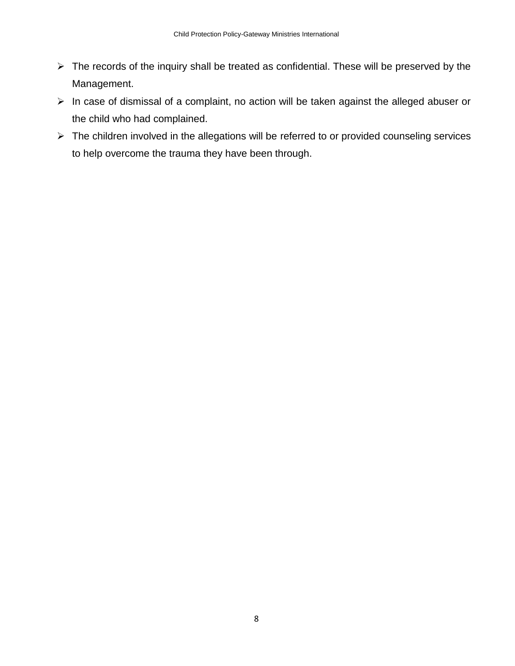- ➢ The records of the inquiry shall be treated as confidential. These will be preserved by the Management.
- ➢ In case of dismissal of a complaint, no action will be taken against the alleged abuser or the child who had complained.
- ➢ The children involved in the allegations will be referred to or provided counseling services to help overcome the trauma they have been through.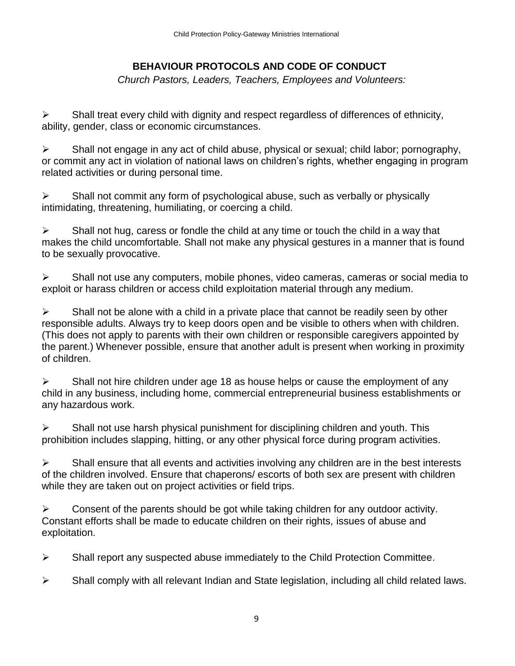# **BEHAVIOUR PROTOCOLS AND CODE OF CONDUCT**

 *Church Pastors, Leaders, Teachers, Employees and Volunteers:*

 $\triangleright$  Shall treat every child with dignity and respect regardless of differences of ethnicity, ability, gender, class or economic circumstances.

➢ Shall not engage in any act of child abuse, physical or sexual; child labor; pornography, or commit any act in violation of national laws on children's rights, whether engaging in program related activities or during personal time.

 $\triangleright$  Shall not commit any form of psychological abuse, such as verbally or physically intimidating, threatening, humiliating, or coercing a child.

 $\triangleright$  Shall not hug, caress or fondle the child at any time or touch the child in a way that makes the child uncomfortable. Shall not make any physical gestures in a manner that is found to be sexually provocative.

➢ Shall not use any computers, mobile phones, video cameras, cameras or social media to exploit or harass children or access child exploitation material through any medium.

 $\triangleright$  Shall not be alone with a child in a private place that cannot be readily seen by other responsible adults. Always try to keep doors open and be visible to others when with children. (This does not apply to parents with their own children or responsible caregivers appointed by the parent.) Whenever possible, ensure that another adult is present when working in proximity of children.

 $\triangleright$  Shall not hire children under age 18 as house helps or cause the employment of any child in any business, including home, commercial entrepreneurial business establishments or any hazardous work.

 $\triangleright$  Shall not use harsh physical punishment for disciplining children and youth. This prohibition includes slapping, hitting, or any other physical force during program activities.

 $\triangleright$  Shall ensure that all events and activities involving any children are in the best interests of the children involved. Ensure that chaperons/ escorts of both sex are present with children while they are taken out on project activities or field trips.

 $\triangleright$  Consent of the parents should be got while taking children for any outdoor activity. Constant efforts shall be made to educate children on their rights, issues of abuse and exploitation.

 $\triangleright$  Shall report any suspected abuse immediately to the Child Protection Committee.

 $\triangleright$  Shall comply with all relevant Indian and State legislation, including all child related laws.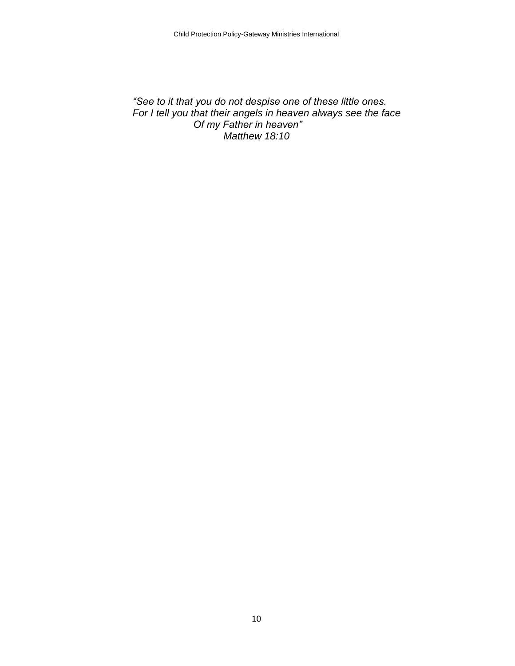#### *"See to it that you do not despise one of these little ones. For I tell you that their angels in heaven always see the face Of my Father in heaven" Matthew 18:10*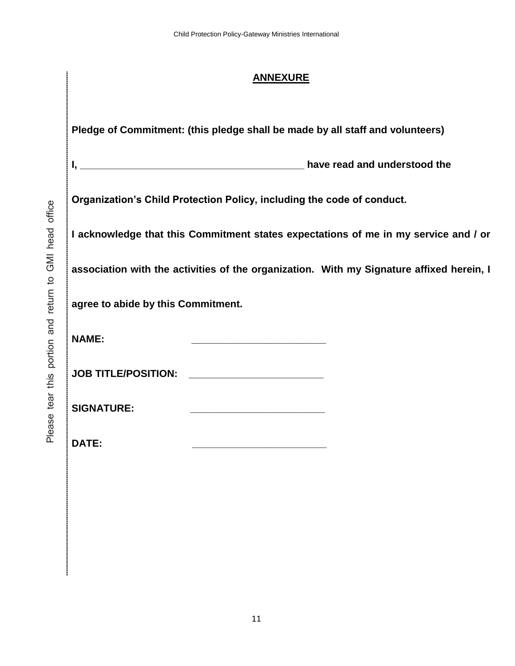#### **ANNEXURE**

**Pledge of Commitment: (this pledge shall be made by all staff and volunteers)**

**I, \_\_\_\_\_\_\_\_\_\_\_\_\_\_\_\_\_\_\_\_\_\_\_\_\_\_\_\_\_\_\_\_\_\_\_\_\_\_\_\_ have read and understood the** 

Please tear this portion and return to GMI head office Please tear this portion and return to GMI head office **Organization's Child Protection Policy, including the code of conduct.** 

**I acknowledge that this Commitment states expectations of me in my service and / or** 

**association with the activities of the organization. With my Signature affixed herein, I** 

**agree to abide by this Commitment.** 

**NAME:**  $\blacksquare$ 

**JOB TITLE/POSITION: \_\_\_\_\_\_\_\_\_\_\_\_\_\_\_\_\_\_\_\_\_\_\_\_**

**SIGNATURE: \_\_\_\_\_\_\_\_\_\_\_\_\_\_\_\_\_\_\_\_\_\_\_\_**

**DATE: \_\_\_\_\_\_\_\_\_\_\_\_\_\_\_\_\_\_\_\_\_\_\_\_**